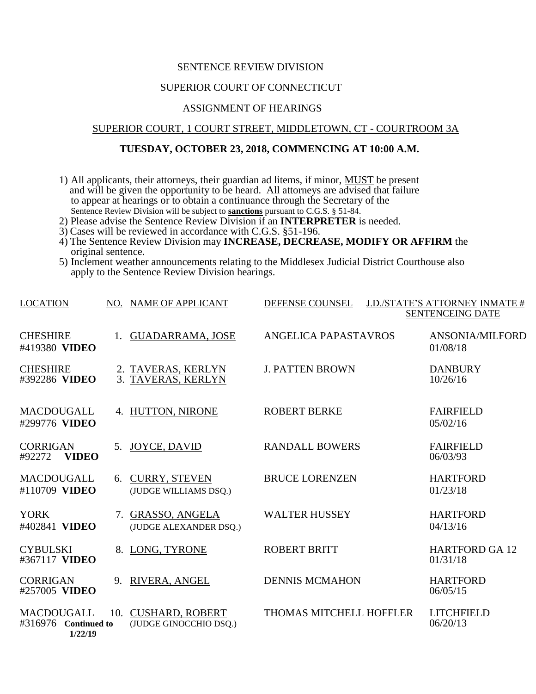### SENTENCE REVIEW DIVISION

## SUPERIOR COURT OF CONNECTICUT

## ASSIGNMENT OF HEARINGS

### SUPERIOR COURT, 1 COURT STREET, MIDDLETOWN, CT - COURTROOM 3A

# **TUESDAY, OCTOBER 23, 2018, COMMENCING AT 10:00 A.M.**

- 1) All applicants, their attorneys, their guardian ad litems, if minor, MUST be present and will be given the opportunity to be heard. All attorneys are advised that failure to appear at hearings or to obtain a continuance through the Secretary of the Sentence Review Division will be subject to **sanctions** pursuant to C.G.S. § 51-84.
- 2) Please advise the Sentence Review Division if an **INTERPRETER** is needed.
- 3) Cases will be reviewed in accordance with C.G.S. §51-196.
- 4) The Sentence Review Division may **INCREASE, DECREASE, MODIFY OR AFFIRM** the original sentence.
- 5) Inclement weather announcements relating to the Middlesex Judicial District Courthouse also apply to the Sentence Review Division hearings.

| <b>LOCATION</b>                                      |                | NO. NAME OF APPLICANT                            | DEFENSE COUNSEL         | J.D./STATE'S ATTORNEY INMATE #<br><b>SENTENCEING DATE</b> |
|------------------------------------------------------|----------------|--------------------------------------------------|-------------------------|-----------------------------------------------------------|
| <b>CHESHIRE</b><br>#419380 VIDEO                     | 1.             | <b>GUADARRAMA, JOSE</b>                          | ANGELICA PAPASTAVROS    | ANSONIA/MILFORD<br>01/08/18                               |
| <b>CHESHIRE</b><br>#392286 VIDEO                     | 3.             | 2. TAVERAS, KERLYN<br>TAVERAS, KERLYN            | <b>J. PATTEN BROWN</b>  | <b>DANBURY</b><br>10/26/16                                |
| <b>MACDOUGALL</b><br>#299776 VIDEO                   |                | 4. HUTTON, NIRONE                                | <b>ROBERT BERKE</b>     | <b>FAIRFIELD</b><br>05/02/16                              |
| <b>CORRIGAN</b><br><b>VIDEO</b><br>#92272            | 5 <sub>1</sub> | <b>JOYCE, DAVID</b>                              | <b>RANDALL BOWERS</b>   | <b>FAIRFIELD</b><br>06/03/93                              |
| <b>MACDOUGALL</b><br>#110709 VIDEO                   |                | 6. CURRY, STEVEN<br>(JUDGE WILLIAMS DSQ.)        | <b>BRUCE LORENZEN</b>   | <b>HARTFORD</b><br>01/23/18                               |
| <b>YORK</b><br>#402841 VIDEO                         |                | 7. GRASSO, ANGELA<br>(JUDGE ALEXANDER DSQ.)      | <b>WALTER HUSSEY</b>    | <b>HARTFORD</b><br>04/13/16                               |
| <b>CYBULSKI</b><br>#367117 VIDEO                     |                | 8. LONG, TYRONE                                  | <b>ROBERT BRITT</b>     | <b>HARTFORD GA 12</b><br>01/31/18                         |
| <b>CORRIGAN</b><br>#257005 VIDEO                     | 9.             | RIVERA, ANGEL                                    | <b>DENNIS MCMAHON</b>   | <b>HARTFORD</b><br>06/05/15                               |
| <b>MACDOUGALL</b><br>#316976 Continued to<br>1/22/19 | 10.            | <b>CUSHARD, ROBERT</b><br>(JUDGE GINOCCHIO DSQ.) | THOMAS MITCHELL HOFFLER | <b>LITCHFIELD</b><br>06/20/13                             |